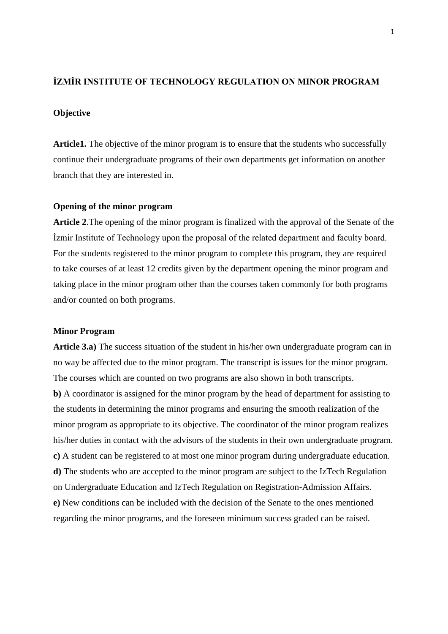## **İZMİR INSTITUTE OF TECHNOLOGY REGULATION ON MINOR PROGRAM**

## **Objective**

**Article1.** The objective of the minor program is to ensure that the students who successfully continue their undergraduate programs of their own departments get information on another branch that they are interested in.

### **Opening of the minor program**

**Article 2**.The opening of the minor program is finalized with the approval of the Senate of the İzmir Institute of Technology upon the proposal of the related department and faculty board. For the students registered to the minor program to complete this program, they are required to take courses of at least 12 credits given by the department opening the minor program and taking place in the minor program other than the courses taken commonly for both programs and/or counted on both programs.

#### **Minor Program**

**Article 3.a)** The success situation of the student in his/her own undergraduate program can in no way be affected due to the minor program. The transcript is issues for the minor program. The courses which are counted on two programs are also shown in both transcripts. **b)** A coordinator is assigned for the minor program by the head of department for assisting to the students in determining the minor programs and ensuring the smooth realization of the minor program as appropriate to its objective. The coordinator of the minor program realizes his/her duties in contact with the advisors of the students in their own undergraduate program. **c)** A student can be registered to at most one minor program during undergraduate education. **d)** The students who are accepted to the minor program are subject to the IzTech Regulation on Undergraduate Education and IzTech Regulation on Registration-Admission Affairs. **e)** New conditions can be included with the decision of the Senate to the ones mentioned regarding the minor programs, and the foreseen minimum success graded can be raised.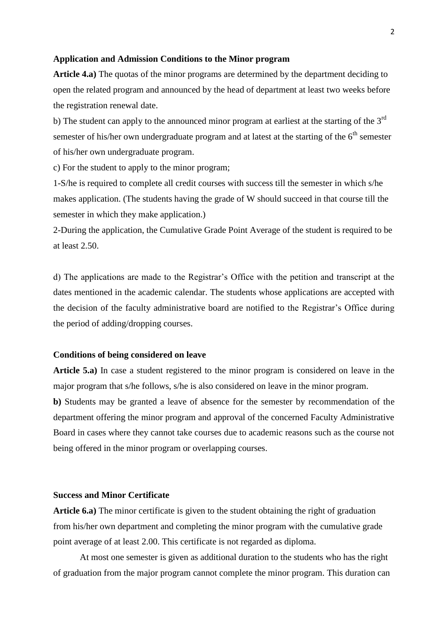#### **Application and Admission Conditions to the Minor program**

**Article 4.a)** The quotas of the minor programs are determined by the department deciding to open the related program and announced by the head of department at least two weeks before the registration renewal date.

b) The student can apply to the announced minor program at earliest at the starting of the  $3<sup>rd</sup>$ semester of his/her own undergraduate program and at latest at the starting of the  $6<sup>th</sup>$  semester of his/her own undergraduate program.

c) For the student to apply to the minor program;

1-S/he is required to complete all credit courses with success till the semester in which s/he makes application. (The students having the grade of W should succeed in that course till the semester in which they make application.)

2-During the application, the Cumulative Grade Point Average of the student is required to be at least 2.50.

d) The applications are made to the Registrar's Office with the petition and transcript at the dates mentioned in the academic calendar. The students whose applications are accepted with the decision of the faculty administrative board are notified to the Registrar's Office during the period of adding/dropping courses.

### **Conditions of being considered on leave**

**Article 5.a)** In case a student registered to the minor program is considered on leave in the major program that s/he follows, s/he is also considered on leave in the minor program.

**b)** Students may be granted a leave of absence for the semester by recommendation of the department offering the minor program and approval of the concerned Faculty Administrative Board in cases where they cannot take courses due to academic reasons such as the course not being offered in the minor program or overlapping courses.

### **Success and Minor Certificate**

**Article 6.a)** The minor certificate is given to the student obtaining the right of graduation from his/her own department and completing the minor program with the cumulative grade point average of at least 2.00. This certificate is not regarded as diploma.

At most one semester is given as additional duration to the students who has the right of graduation from the major program cannot complete the minor program. This duration can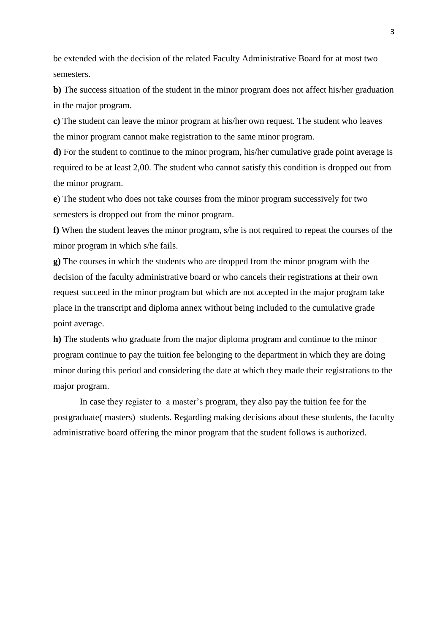be extended with the decision of the related Faculty Administrative Board for at most two semesters.

**b)** The success situation of the student in the minor program does not affect his/her graduation in the major program.

**c)** The student can leave the minor program at his/her own request. The student who leaves the minor program cannot make registration to the same minor program.

**d)** For the student to continue to the minor program, his/her cumulative grade point average is required to be at least 2,00. The student who cannot satisfy this condition is dropped out from the minor program.

**e**) The student who does not take courses from the minor program successively for two semesters is dropped out from the minor program.

**f)** When the student leaves the minor program, s/he is not required to repeat the courses of the minor program in which s/he fails.

**g)** The courses in which the students who are dropped from the minor program with the decision of the faculty administrative board or who cancels their registrations at their own request succeed in the minor program but which are not accepted in the major program take place in the transcript and diploma annex without being included to the cumulative grade point average.

**h)** The students who graduate from the major diploma program and continue to the minor program continue to pay the tuition fee belonging to the department in which they are doing minor during this period and considering the date at which they made their registrations to the major program.

In case they register to a master's program, they also pay the tuition fee for the postgraduate( masters) students. Regarding making decisions about these students, the faculty administrative board offering the minor program that the student follows is authorized.